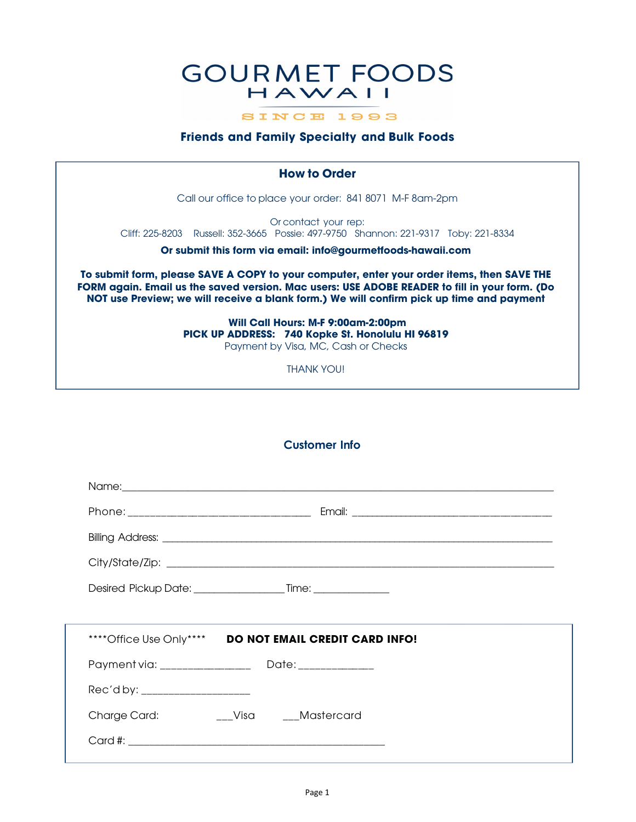# **GOURMET FOODS** HAWAII

SINCE 1993

# **Friends and Family Specialty and Bulk Foods**

# **How to Order** Call our office to place your order: 841 8071 M-F 8am-2pm Or contact your rep: Cliff: 225-8203 Russell: 352-3665 Possie: 497-9750 Shannon: 221-9317 Toby: 221-8334 **Or submit this form via email: info@gourmetfoods-hawaii.com**

**To submit form, please SAVE A COPY to your computer, enter your order items, then SAVE THE FORM again. Email us the saved version. Mac users: USE ADOBE READER to fill in your form. (Do NOT use Preview; we will receive a blank form.) We will confirm pick up time and payment**

> **Will Call Hours: M-F 9:00am-2:00pm PICK UP ADDRESS: 740 Kopke St. Honolulu HI 96819** Payment by Visa, MC, Cash or Checks

> > THANK YOU!

# **Customer Info**

|                                  | Desired Pickup Date: Time: Time:                        |  |
|----------------------------------|---------------------------------------------------------|--|
|                                  |                                                         |  |
|                                  | **** Office Use Only**** DO NOT EMAIL CREDIT CARD INFO! |  |
|                                  |                                                         |  |
| Rec'd by: ______________________ |                                                         |  |
| Charge Card:                     | __Visa ___Mastercard                                    |  |
|                                  |                                                         |  |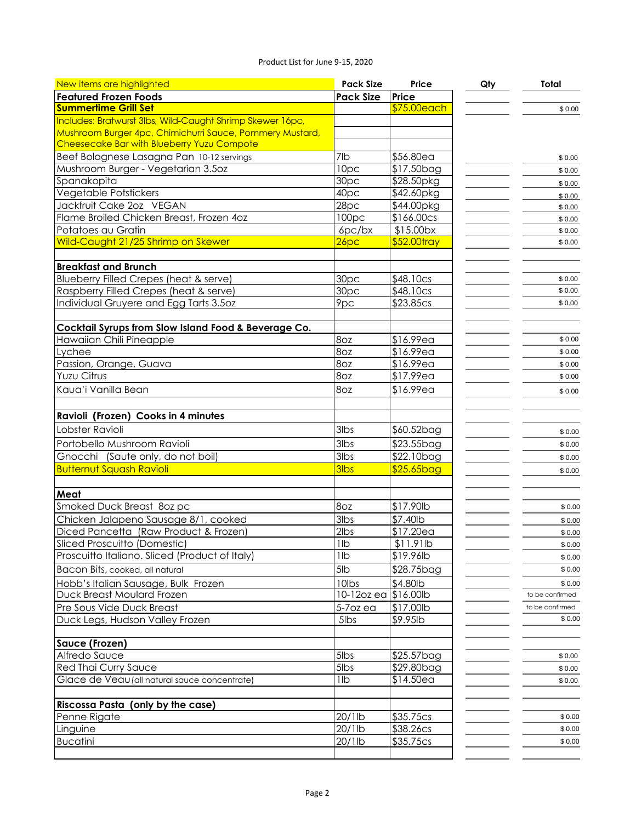### Product List for June 9-15, 2020

| New items are highlighted                                 | <b>Pack Size</b>  | Price                   | Qty | Total           |
|-----------------------------------------------------------|-------------------|-------------------------|-----|-----------------|
| <b>Featured Frozen Foods</b>                              | <b>Pack Size</b>  | <b>Price</b>            |     |                 |
| <b>Summertime Grill Set</b>                               |                   | \$75.00each             |     | \$0.00          |
| Includes: Bratwurst 3lbs, Wild-Caught Shrimp Skewer 16pc, |                   |                         |     |                 |
| Mushroom Burger 4pc, Chimichurri Sauce, Pommery Mustard,  |                   |                         |     |                 |
| Cheesecake Bar with Blueberry Yuzu Compote                |                   |                         |     |                 |
| Beef Bolognese Lasagna Pan 10-12 servings                 | 7lb               | \$56.80ea               |     | \$0.00          |
| Mushroom Burger - Vegetarian 3.5oz                        | 10pc              | \$17.50bag              |     | \$0.00          |
| Spanakopita                                               | 30pc              | \$28.50pkg              |     | \$0.00          |
| Vegetable Potstickers                                     | 40pc              | \$42.60pkg              |     | \$0.00          |
| Jackfruit Cake 2oz VEGAN                                  | 28pc              | \$44.00pkg              |     | \$0.00          |
| Flame Broiled Chicken Breast, Frozen 4oz                  | 100 <sub>pc</sub> | \$166.00cs              |     | \$0.00          |
| Potatoes au Gratin                                        | $6pc$ / $bx$      | $$15.00$ bx             |     | \$0.00          |
| Wild-Caught 21/25 Shrimp on Skewer                        | 26 <sub>pc</sub>  | \$52.00tray             |     | \$0.00          |
| <b>Breakfast and Brunch</b>                               |                   |                         |     |                 |
| Blueberry Filled Crepes (heat & serve)                    | 30 <sub>pc</sub>  | \$48.10cs               |     | \$0.00          |
| Raspberry Filled Crepes (heat & serve)                    | 30 <sub>pc</sub>  | \$48.10cs               |     | \$0.00          |
| Individual Gruyere and Egg Tarts 3.50z                    | 9pc               | \$23.85cs               |     | \$0.00          |
|                                                           |                   |                         |     |                 |
| Cocktail Syrups from Slow Island Food & Beverage Co.      |                   |                         |     |                 |
| Hawaiian Chili Pineapple                                  | 8oz               | \$16.99ea               |     | \$0.00          |
| Lychee                                                    | 8oz               | \$16.99ea               |     | \$0.00          |
| Passion, Orange, Guava                                    | 8oz               | \$16.99ea               |     | \$0.00          |
| Yuzu Citrus                                               | 8oz               | \$17.99ea               |     | \$0.00          |
| Kaua'i Vanilla Bean                                       | 8oz               | \$16.99ea               |     | \$0.00          |
|                                                           |                   |                         |     |                 |
| Ravioli (Frozen) Cooks in 4 minutes                       |                   |                         |     |                 |
| Lobster Ravioli                                           | 3lbs              | \$60.52bag              |     | \$0.00          |
| Portobello Mushroom Ravioli                               | 3lbs              | $\overline{$23.55}$ bag |     | \$0.00          |
| Gnocchi (Saute only, do not boil)                         | $3$ lbs           | \$22.10bag              |     | \$0.00          |
| <b>Butternut Squash Ravioli</b>                           | <b>3lbs</b>       | \$25.65bag              |     | \$0.00          |
|                                                           |                   |                         |     |                 |
| Meat                                                      |                   |                         |     |                 |
| Smoked Duck Breast 8oz pc                                 | 8oz               | \$17.90lb               |     | \$0.00          |
| Chicken Jalapeno Sausage 8/1, cooked                      | 3lbs              | \$7.40lb                |     | \$0.00          |
| Diced Pancetta (Raw Product & Frozen)                     | 2lbs              | \$17.20ea               |     | \$0.00          |
| Sliced Proscuitto (Domestic)                              | 11b               | $$11.91$ lb             |     | \$0.00          |
| Proscuitto Italiano. Sliced (Product of Italy)            | 1 <sub>lb</sub>   | \$19.96lb               |     | \$0.00          |
| Bacon Bits, cooked, all natural                           | 5lb               | \$28.75bag              |     | \$0.00          |
| Hobb's Italian Sausage, Bulk Frozen                       | 10lbs             | \$4.80lb                |     | \$0.00          |
| Duck Breast Moulard Frozen                                | 10-12oz ea        | \$16.00 lb              |     | to be confirmed |
| Pre Sous Vide Duck Breast                                 | $5-7$ ozea        | \$17.00lb               |     | to be confirmed |
| Duck Legs, Hudson Valley Frozen                           | 5lbs              | \$9.95lb                |     | \$0.00          |
|                                                           |                   |                         |     |                 |
| Sauce (Frozen)                                            |                   |                         |     |                 |
| Alfredo Sauce                                             | $5$ lbs           | \$25.57bag              |     | \$0.00          |
| Red Thai Curry Sauce                                      | $5$ lbs           | \$29.80bag              |     | \$0.00          |
| Glace de Veau (all natural sauce concentrate)             | 1lb               | \$14.50ea               |     | \$0.00          |
| Riscossa Pasta (only by the case)                         |                   |                         |     |                 |
| Penne Rigate                                              | 20/1lb            | \$35.75cs               |     | \$0.00          |
| Linguine                                                  | 20/1lb            | \$38.26cs               |     | \$0.00          |
| <b>Bucatini</b>                                           | 20/1lb            | \$35.75cs               |     | \$0.00          |
|                                                           |                   |                         |     |                 |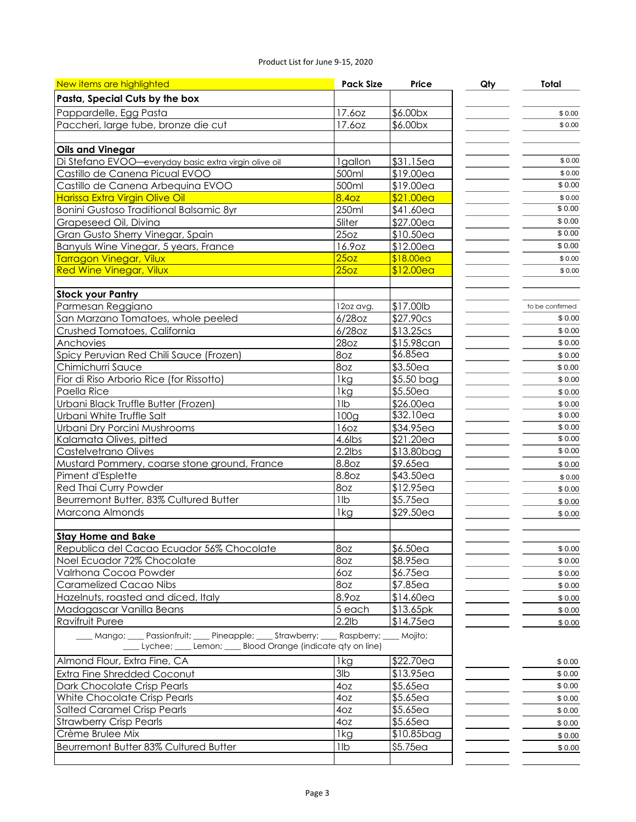#### Product List for June 9-15, 2020

| New items are highlighted                                                          | <b>Pack Size</b>  | Price                   | Qty | <b>Total</b>      |
|------------------------------------------------------------------------------------|-------------------|-------------------------|-----|-------------------|
| Pasta, Special Cuts by the box                                                     |                   |                         |     |                   |
| Pappardelle, Egg Pasta                                                             | 17.6oz            | \$6.00bx                |     | \$0.00            |
| Paccheri, large tube, bronze die cut                                               | 17.6oz            | \$6.00bx                |     | \$0.00            |
|                                                                                    |                   |                         |     |                   |
| <b>Oils and Vinegar</b>                                                            |                   |                         |     |                   |
| Di Stefano EVOO-everyday basic extra virgin olive oil                              | 1gallon           | \$31.15ea               |     | \$0.00            |
| Castillo de Canena Picual EVOO                                                     | 500ml             | \$19.00ea               |     | \$0.00            |
| Castillo de Canena Arbequina EVOO                                                  | 500ml             | \$19.00ea               |     | \$0.00            |
| <b>Harissa Extra Virgin Olive Oil</b>                                              | 8.40z             | \$21.00ea               |     | \$0.00            |
| Bonini Gustoso Traditional Balsamic 8yr                                            | 250ml             | \$41.60ea               |     | \$0.00            |
| Grapeseed Oil, Divina                                                              | 5liter            | \$27.00ea               |     | \$0.00            |
| Gran Gusto Sherry Vinegar, Spain                                                   | 25oz              | \$10.50ea               |     | $\frac{1}{$0.00}$ |
| Banyuls Wine Vinegar, 5 years, France                                              | 16.9oz            | \$12.00ea               |     | \$0.00            |
| <b>Tarragon Vinegar, Vilux</b>                                                     | $\overline{250z}$ | \$18.00ea               |     | \$0.00            |
| <b>Red Wine Vinegar, Vilux</b>                                                     | 25 <sub>oz</sub>  | \$12.00ea               |     | \$0.00            |
|                                                                                    |                   |                         |     |                   |
| <b>Stock your Pantry</b>                                                           |                   |                         |     |                   |
| Parmesan Reggiano                                                                  | 12oz avg.         | \$17.00lb               |     | to be confirmed   |
| San Marzano Tomatoes, whole peeled                                                 | 6/28oz            | \$27.90cs               |     | \$0.00            |
| Crushed Tomatoes, California                                                       | $6/28$ OZ         | \$13.25cs               |     | \$0.00            |
| Anchovies                                                                          | 28oz              | \$15.98can              |     | \$0.00            |
| Spicy Peruvian Red Chili Sauce (Frozen)                                            | 8oz               | $$6.85$ ea              |     | \$0.00            |
| Chimichurri Sauce                                                                  | 8oz               | \$3.50ea                |     | \$0.00            |
| Fior di Riso Arborio Rice (for Rissotto)                                           | 1kg               | \$5.50 bag              |     | \$0.00            |
| Paella Rice                                                                        | 1kg               | \$5.50ea                |     | \$0.00            |
| Urbani Black Truffle Butter (Frozen)                                               | 1lb               | $\frac{1}{2}$ 26.00ea   |     | \$0.00            |
| Urbani White Truffle Salt                                                          | 100 <sub>g</sub>  | \$32.10ea               |     | \$0.00            |
| Urbani Dry Porcini Mushrooms                                                       | 16oz              | \$34.95ea               |     | \$0.00            |
| Kalamata Olives, pitted                                                            | 4.6lbs            | \$21.20ea               |     | \$0.00            |
| Castelvetrano Olives                                                               | $2.2$ lbs         | \$13.80bag              |     | \$0.00            |
| Mustard Pommery, coarse stone ground, France                                       | 8.8oz             | \$9.65ea                |     | \$0.00            |
| Piment d'Esplette                                                                  | 8.8oz             | \$43.50ea               |     | \$0.00            |
| Red Thai Curry Powder                                                              | 8oz               | \$12.95ea               |     | \$0.00            |
| Beurremont Butter, 83% Cultured Butter                                             | 11b               | \$5.75ea                |     | \$0.00            |
| Marcona Almonds                                                                    | 1kg               | \$29.50ea               |     | \$0.00            |
|                                                                                    |                   |                         |     |                   |
| <b>Stay Home and Bake</b>                                                          |                   |                         |     |                   |
| Republica del Cacao Ecuador 56% Chocolate                                          | 8oz               | \$6.50ea                |     | \$0.00            |
| Noel Ecuador 72% Chocolate                                                         | 8oz               | \$8.95ea                |     | \$0.00            |
| Valrhona Cocoa Powder                                                              | 6oz               | $$6.75$ ea              |     | \$0.00            |
| <b>Caramelized Cacao Nibs</b>                                                      | 8oz               | \$7.85ea                |     | \$0.00            |
| Hazelnuts, roasted and diced, Italy                                                | 8.9oz             | \$14.60ea               |     | \$0.00            |
| Madagascar Vanilla Beans                                                           | 5 each            | \$13.65pk               |     | \$0.00            |
| Ravifruit Puree                                                                    | $2.2$ lb          | \$14.75ea               |     | \$0.00            |
| Mango; ___ Passionfruit; ___ Pineapple; ___ Strawberry; ___ Raspberry; ___ Mojito; |                   |                         |     |                   |
| Lychee; Lemon; Blood Orange (indicate qty on line)                                 |                   |                         |     |                   |
|                                                                                    |                   |                         |     |                   |
| Almond Flour, Extra Fine, CA                                                       | 1kg               | \$22.70ea               |     | \$0.00            |
| <b>Extra Fine Shredded Coconut</b>                                                 | $\overline{3}$ lb | $\overline{\$}$ 13.95ea |     | \$0.00            |
| Dark Chocolate Crisp Pearls                                                        | 4oz               | \$5.65ea                |     | \$0.00            |
| White Chocolate Crisp Pearls                                                       | 4oz               | \$5.65ea                |     | \$0.00            |
| <b>Salted Caramel Crisp Pearls</b>                                                 | 4oz               | \$5.65ea                |     | \$0.00            |
| <b>Strawberry Crisp Pearls</b>                                                     | 4oz               | \$5.65ea                |     | \$0.00            |
| Crème Brulee Mix                                                                   | 1kg               | \$10.85bag              |     | \$0.00            |
| Beurremont Butter 83% Cultured Butter                                              | 11b               | \$5.75ea                |     | \$0.00            |
|                                                                                    |                   |                         |     |                   |